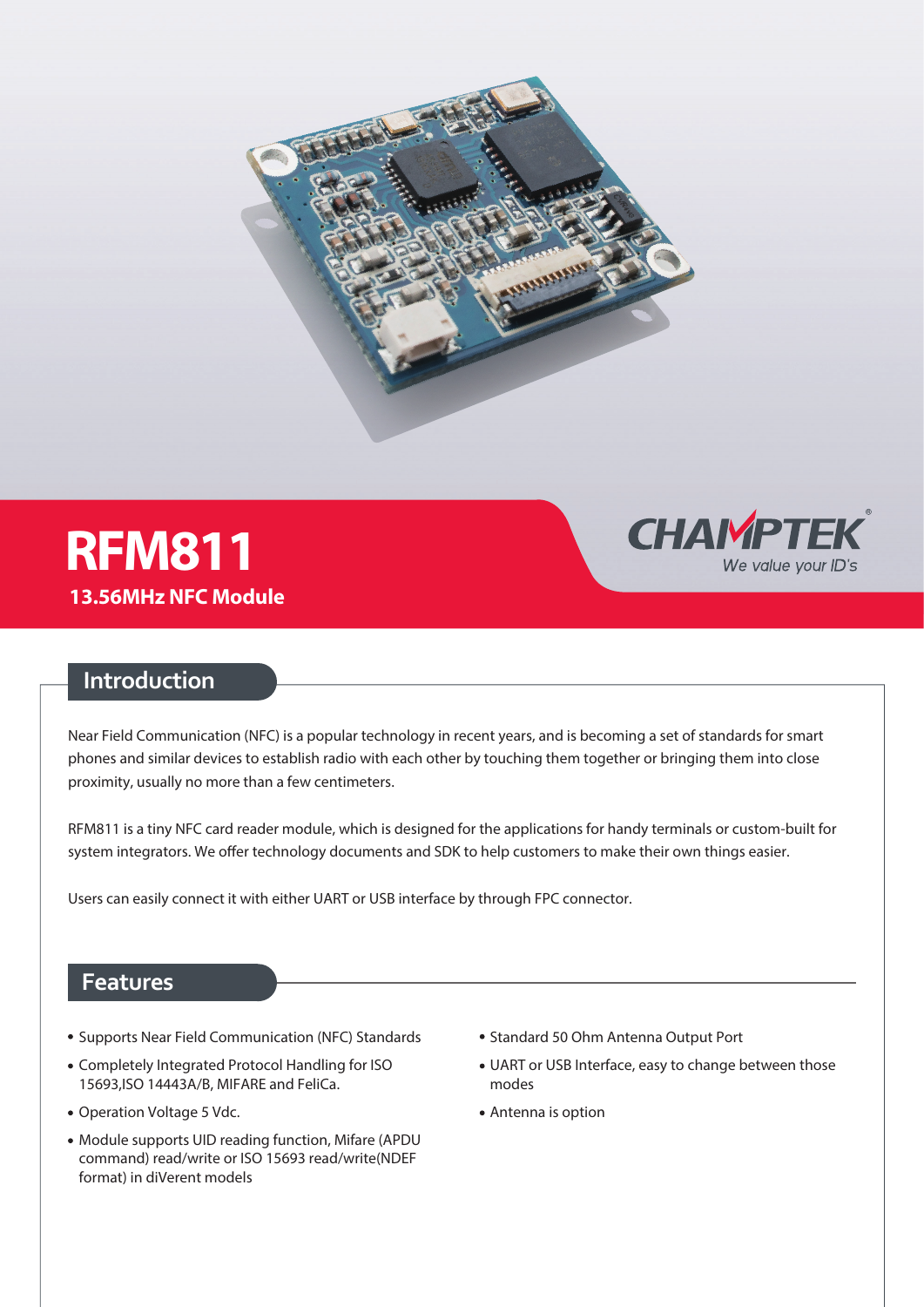



## **Introduction**

Near Field Communication (NFC) is a popular technology in recent years, and is becoming a set of standards for smart phones and similar devices to establish radio with each other by touching them together or bringing them into close proximity, usually no more than a few centimeters.

RFM811 is a tiny NFC card reader module, which is designed for the applications for handy terminals or custom-built for system integrators. We offer technology documents and SDK to help customers to make their own things easier.

Users can easily connect it with either UART or USB interface by through FPC connector.

### **Features**

- Supports Near Field Communication (NFC) Standards
- Completely Integrated Protocol Handling for ISO 15693,ISO 14443A/B, MIFARE and FeliCa.
- Operation Voltage 5 Vdc.
- Module supports UID reading function, Mifare (APDU command) read/write or ISO 15693 read/write(NDEF format) in diVerent models
- Standard 50 Ohm Antenna Output Port
- UART or USB Interface, easy to change between those modes

**CHAMPTEK** 

We value your ID's

Antenna is option